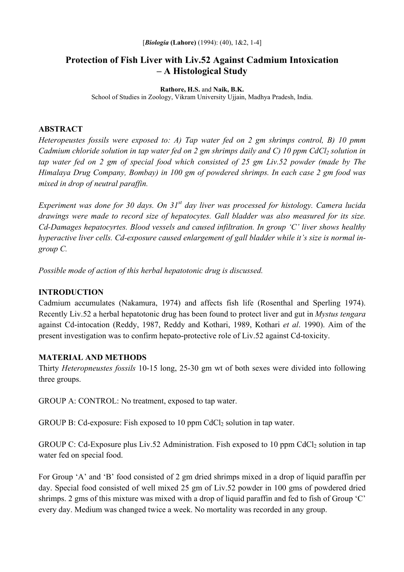# **Protection of Fish Liver with Liv.52 Against Cadmium Intoxication – A Histological Study**

#### **Rathore, H.S.** and **Naik, B.K.**

School of Studies in Zoology, Vikram University Ujjain, Madhya Pradesh, India.

#### **ABSTRACT**

*Heteropeustes fossils were exposed to: A) Tap water fed on 2 gm shrimps control, B) 10 pmm Cadmium chloride solution in tap water fed on 2 gm shrimps daily and C) 10 ppm CdCl<sub>2</sub> solution in tap water fed on 2 gm of special food which consisted of 25 gm Liv.52 powder (made by The Himalaya Drug Company, Bombay) in 100 gm of powdered shrimps. In each case 2 gm food was mixed in drop of neutral paraffin.* 

*Experiment was done for 30 days. On 31st day liver was processed for histology. Camera lucida drawings were made to record size of hepatocytes. Gall bladder was also measured for its size. Cd-Damages hepatocyrtes. Blood vessels and caused infiltration. In group 'C' liver shows healthy hyperactive liver cells. Cd-exposure caused enlargement of gall bladder while it's size is normal ingroup C.* 

*Possible mode of action of this herbal hepatotonic drug is discussed.* 

## **INTRODUCTION**

Cadmium accumulates (Nakamura, 1974) and affects fish life (Rosenthal and Sperling 1974). Recently Liv.52 a herbal hepatotonic drug has been found to protect liver and gut in *Mystus tengara*  against Cd-intocation (Reddy, 1987, Reddy and Kothari, 1989, Kothari *et al*. 1990). Aim of the present investigation was to confirm hepato-protective role of Liv.52 against Cd-toxicity.

## **MATERIAL AND METHODS**

Thirty *Heteropneustes fossils* 10-15 long, 25-30 gm wt of both sexes were divided into following three groups.

GROUP A: CONTROL: No treatment, exposed to tap water.

GROUP B: Cd-exposure: Fish exposed to 10 ppm CdCl<sub>2</sub> solution in tap water.

GROUP C: Cd-Exposure plus Liv.52 Administration. Fish exposed to 10 ppm CdCl<sub>2</sub> solution in tap water fed on special food.

For Group 'A' and 'B' food consisted of 2 gm dried shrimps mixed in a drop of liquid paraffin per day. Special food consisted of well mixed 25 gm of Liv.52 powder in 100 gms of powdered dried shrimps. 2 gms of this mixture was mixed with a drop of liquid paraffin and fed to fish of Group 'C' every day. Medium was changed twice a week. No mortality was recorded in any group.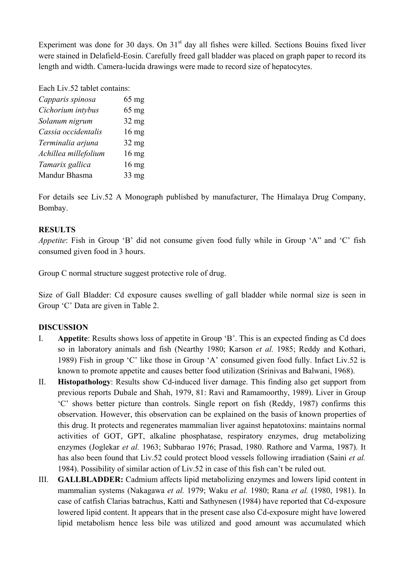Experiment was done for 30 days. On 31<sup>st</sup> day all fishes were killed. Sections Bouins fixed liver were stained in Delafield-Eosin. Carefully freed gall bladder was placed on graph paper to record its length and width. Camera-lucida drawings were made to record size of hepatocytes.

Each Liv.52 tablet contains:

| Capparis spinosa     | $65$ mg         |
|----------------------|-----------------|
| Cichorium intybus    | $65$ mg         |
| Solanum nigrum       | $32$ mg         |
| Cassia occidentalis  | $16 \text{ mg}$ |
| Terminalia arjuna    | $32$ mg         |
| Achillea millefolium | $16 \text{ mg}$ |
| Tamarix gallica      | $16 \text{ mg}$ |
| Mandur Bhasma        | $33 \text{ mg}$ |

For details see Liv.52 A Monograph published by manufacturer, The Himalaya Drug Company, Bombay.

## **RESULTS**

*Appetite*: Fish in Group 'B' did not consume given food fully while in Group 'A" and 'C' fish consumed given food in 3 hours.

Group C normal structure suggest protective role of drug.

Size of Gall Bladder: Cd exposure causes swelling of gall bladder while normal size is seen in Group 'C' Data are given in Table 2.

## **DISCUSSION**

- I. **Appetite**: Results shows loss of appetite in Group 'B'. This is an expected finding as Cd does so in laboratory animals and fish (Nearthy 1980; Karson *et al.* 1985; Reddy and Kothari, 1989) Fish in group 'C' like those in Group 'A' consumed given food fully. Infact Liv.52 is known to promote appetite and causes better food utilization (Srinivas and Balwani, 1968).
- II. **Histopathology**: Results show Cd-induced liver damage. This finding also get support from previous reports Dubale and Shah, 1979, 81: Ravi and Ramamoorthy, 1989). Liver in Group 'C' shows better picture than controls. Single report on fish (Reddy, 1987) confirms this observation. However, this observation can be explained on the basis of known properties of this drug. It protects and regenerates mammalian liver against hepatotoxins: maintains normal activities of GOT, GPT, alkaline phosphatase, respiratory enzymes, drug metabolizing enzymes (Joglekar *et al.* 1963; Subbarao 1976; Prasad, 1980. Rathore and Varma, 1987). It has also been found that Liv.52 could protect blood vessels following irradiation (Saini *et al.* 1984). Possibility of similar action of Liv.52 in case of this fish can't be ruled out.
- III. **GALLBLADDER:** Cadmium affects lipid metabolizing enzymes and lowers lipid content in mammalian systems (Nakagawa *et al.* 1979; Waku *et al.* 1980; Rana *et al.* (1980, 1981). In case of catfish Clarias batrachus, Katti and Sathynesen (1984) have reported that Cd-exposure lowered lipid content. It appears that in the present case also Cd-exposure might have lowered lipid metabolism hence less bile was utilized and good amount was accumulated which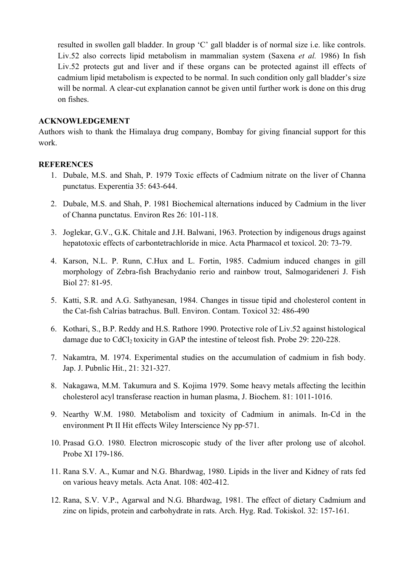resulted in swollen gall bladder. In group 'C' gall bladder is of normal size i.e. like controls. Liv.52 also corrects lipid metabolism in mammalian system (Saxena *et al.* 1986) In fish Liv.52 protects gut and liver and if these organs can be protected against ill effects of cadmium lipid metabolism is expected to be normal. In such condition only gall bladder's size will be normal. A clear-cut explanation cannot be given until further work is done on this drug on fishes.

#### **ACKNOWLEDGEMENT**

Authors wish to thank the Himalaya drug company, Bombay for giving financial support for this work.

#### **REFERENCES**

- 1. Dubale, M.S. and Shah, P. 1979 Toxic effects of Cadmium nitrate on the liver of Channa punctatus. Experentia 35: 643-644.
- 2. Dubale, M.S. and Shah, P. 1981 Biochemical alternations induced by Cadmium in the liver of Channa punctatus. Environ Res 26: 101-118.
- 3. Joglekar, G.V., G.K. Chitale and J.H. Balwani, 1963. Protection by indigenous drugs against hepatotoxic effects of carbontetrachloride in mice. Acta Pharmacol et toxicol. 20: 73-79.
- 4. Karson, N.L. P. Runn, C.Hux and L. Fortin, 1985. Cadmium induced changes in gill morphology of Zebra-fish Brachydanio rerio and rainbow trout, Salmogarideneri J. Fish Biol 27: 81-95.
- 5. Katti, S.R. and A.G. Sathyanesan, 1984. Changes in tissue tipid and cholesterol content in the Cat-fish Calrias batrachus. Bull. Environ. Contam. Toxicol 32: 486-490
- 6. Kothari, S., B.P. Reddy and H.S. Rathore 1990. Protective role of Liv.52 against histological damage due to  $CdCl<sub>2</sub>$  toxicity in GAP the intestine of teleost fish. Probe 29: 220-228.
- 7. Nakamtra, M. 1974. Experimental studies on the accumulation of cadmium in fish body. Jap. J. Pubnlic Hit., 21: 321-327.
- 8. Nakagawa, M.M. Takumura and S. Kojima 1979. Some heavy metals affecting the lecithin cholesterol acyl transferase reaction in human plasma, J. Biochem. 81: 1011-1016.
- 9. Nearthy W.M. 1980. Metabolism and toxicity of Cadmium in animals. In-Cd in the environment Pt II Hit effects Wiley Interscience Ny pp-571.
- 10. Prasad G.O. 1980. Electron microscopic study of the liver after prolong use of alcohol. Probe XI 179-186.
- 11. Rana S.V. A., Kumar and N.G. Bhardwag, 1980. Lipids in the liver and Kidney of rats fed on various heavy metals. Acta Anat. 108: 402-412.
- 12. Rana, S.V. V.P., Agarwal and N.G. Bhardwag, 1981. The effect of dietary Cadmium and zinc on lipids, protein and carbohydrate in rats. Arch. Hyg. Rad. Tokiskol. 32: 157-161.